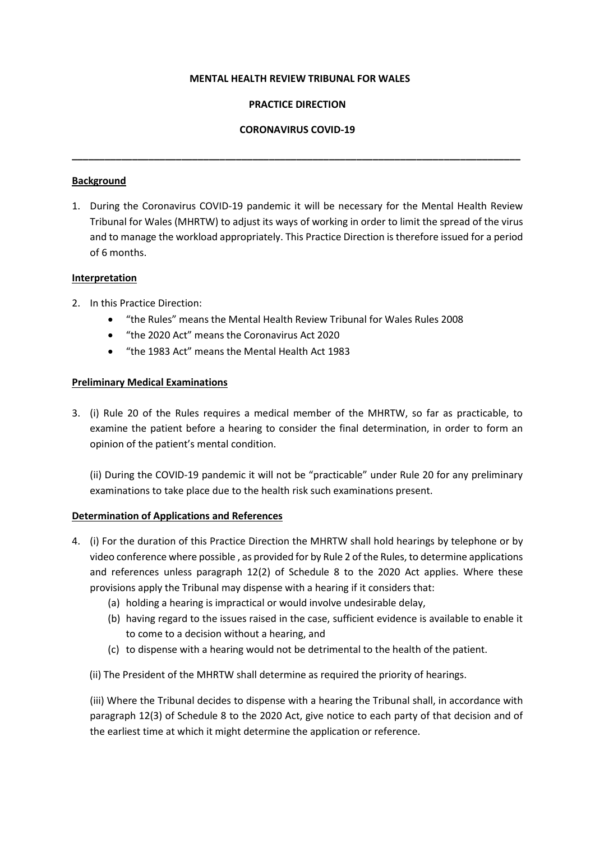#### **MENTAL HEALTH REVIEW TRIBUNAL FOR WALES**

### **PRACTICE DIRECTION**

## **CORONAVIRUS COVID-19**

**\_\_\_\_\_\_\_\_\_\_\_\_\_\_\_\_\_\_\_\_\_\_\_\_\_\_\_\_\_\_\_\_\_\_\_\_\_\_\_\_\_\_\_\_\_\_\_\_\_\_\_\_\_\_\_\_\_\_\_\_\_\_\_\_\_\_\_\_\_\_\_\_\_\_\_\_\_\_\_\_\_\_**

#### **Background**

1. During the Coronavirus COVID-19 pandemic it will be necessary for the Mental Health Review Tribunal for Wales (MHRTW) to adjust its ways of working in order to limit the spread of the virus and to manage the workload appropriately. This Practice Direction is therefore issued for a period of 6 months.

### **Interpretation**

- 2. In this Practice Direction:
	- "the Rules" means the Mental Health Review Tribunal for Wales Rules 2008
	- "the 2020 Act" means the Coronavirus Act 2020
	- "the 1983 Act" means the Mental Health Act 1983

### **Preliminary Medical Examinations**

3. (i) Rule 20 of the Rules requires a medical member of the MHRTW, so far as practicable, to examine the patient before a hearing to consider the final determination, in order to form an opinion of the patient's mental condition.

(ii) During the COVID-19 pandemic it will not be "practicable" under Rule 20 for any preliminary examinations to take place due to the health risk such examinations present.

### **Determination of Applications and References**

- 4. (i) For the duration of this Practice Direction the MHRTW shall hold hearings by telephone or by video conference where possible , as provided for by Rule 2 of the Rules, to determine applications and references unless paragraph 12(2) of Schedule 8 to the 2020 Act applies. Where these provisions apply the Tribunal may dispense with a hearing if it considers that:
	- (a) holding a hearing is impractical or would involve undesirable delay,
	- (b) having regard to the issues raised in the case, sufficient evidence is available to enable it to come to a decision without a hearing, and
	- (c) to dispense with a hearing would not be detrimental to the health of the patient.
	- (ii) The President of the MHRTW shall determine as required the priority of hearings.

(iii) Where the Tribunal decides to dispense with a hearing the Tribunal shall, in accordance with paragraph 12(3) of Schedule 8 to the 2020 Act, give notice to each party of that decision and of the earliest time at which it might determine the application or reference.